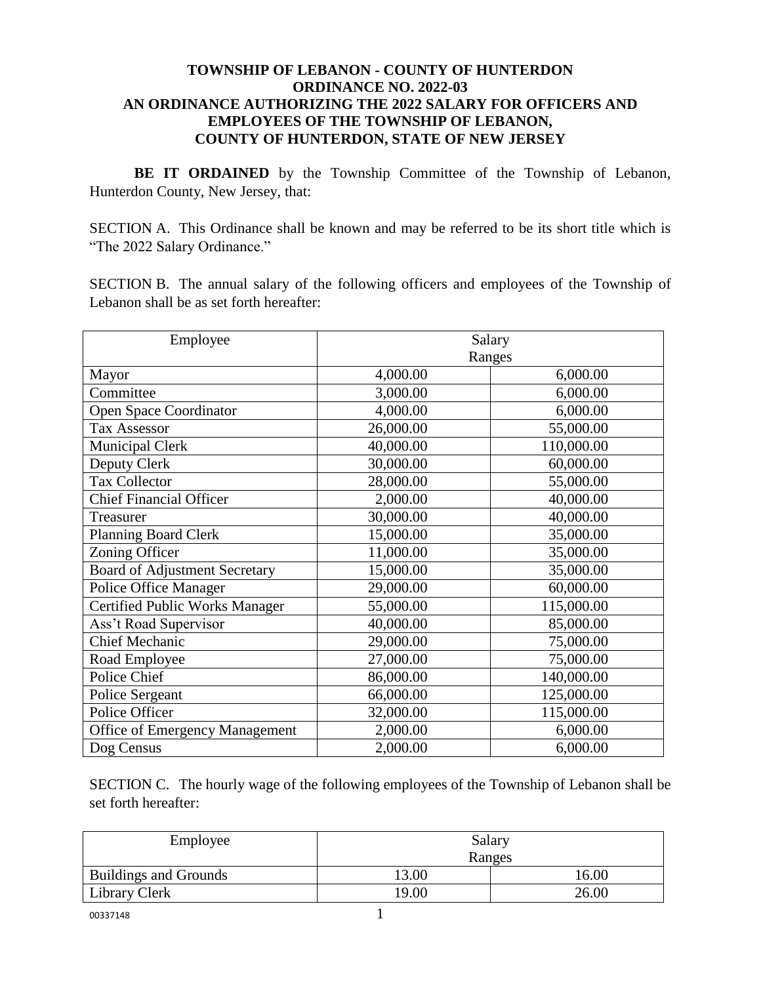## **TOWNSHIP OF LEBANON - COUNTY OF HUNTERDON ORDINANCE NO. 2022-03 AN ORDINANCE AUTHORIZING THE 2022 SALARY FOR OFFICERS AND EMPLOYEES OF THE TOWNSHIP OF LEBANON, COUNTY OF HUNTERDON, STATE OF NEW JERSEY**

BE IT ORDAINED by the Township Committee of the Township of Lebanon, Hunterdon County, New Jersey, that:

SECTION A. This Ordinance shall be known and may be referred to be its short title which is "The 2022 Salary Ordinance."

SECTION B. The annual salary of the following officers and employees of the Township of Lebanon shall be as set forth hereafter:

| Employee                              | Salary    |            |  |
|---------------------------------------|-----------|------------|--|
|                                       | Ranges    |            |  |
| Mayor                                 | 4,000.00  | 6,000.00   |  |
| Committee                             | 3,000.00  | 6,000.00   |  |
| <b>Open Space Coordinator</b>         | 4,000.00  | 6,000.00   |  |
| <b>Tax Assessor</b>                   | 26,000.00 | 55,000.00  |  |
| <b>Municipal Clerk</b>                | 40,000.00 | 110,000.00 |  |
| Deputy Clerk                          | 30,000.00 | 60,000.00  |  |
| <b>Tax Collector</b>                  | 28,000.00 | 55,000.00  |  |
| <b>Chief Financial Officer</b>        | 2,000.00  | 40,000.00  |  |
| Treasurer                             | 30,000.00 | 40,000.00  |  |
| Planning Board Clerk                  | 15,000.00 | 35,000.00  |  |
| Zoning Officer                        | 11,000.00 | 35,000.00  |  |
| <b>Board of Adjustment Secretary</b>  | 15,000.00 | 35,000.00  |  |
| Police Office Manager                 | 29,000.00 | 60,000.00  |  |
| <b>Certified Public Works Manager</b> | 55,000.00 | 115,000.00 |  |
| Ass't Road Supervisor                 | 40,000.00 | 85,000.00  |  |
| <b>Chief Mechanic</b>                 | 29,000.00 | 75,000.00  |  |
| Road Employee                         | 27,000.00 | 75,000.00  |  |
| Police Chief                          | 86,000.00 | 140,000.00 |  |
| Police Sergeant                       | 66,000.00 | 125,000.00 |  |
| Police Officer                        | 32,000.00 | 115,000.00 |  |
| <b>Office of Emergency Management</b> | 2,000.00  | 6,000.00   |  |
| Dog Census                            | 2,000.00  | 6,000.00   |  |

SECTION C. The hourly wage of the following employees of the Township of Lebanon shall be set forth hereafter:

| Employee                     | Salary |       |  |
|------------------------------|--------|-------|--|
|                              | Ranges |       |  |
| <b>Buildings and Grounds</b> | 13.00  | 16.00 |  |
| <b>Library Clerk</b>         | 19.00  | 26.00 |  |
| 00337148                     |        |       |  |